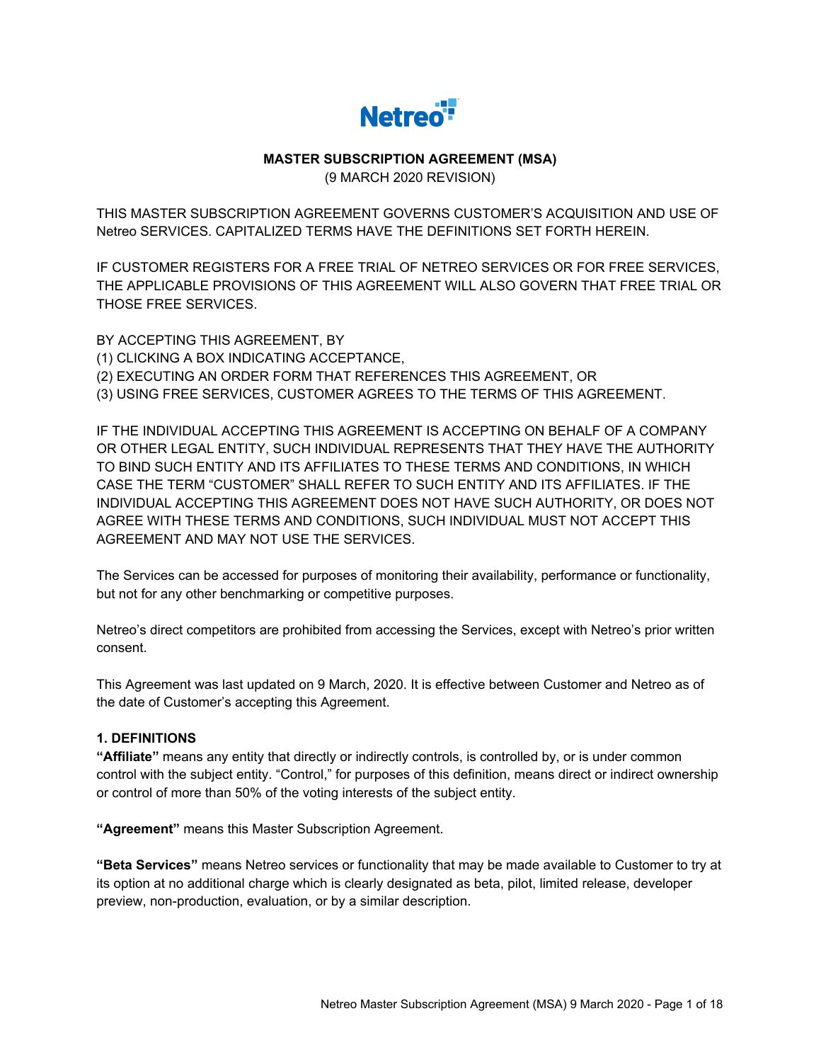

# **MASTER SUBSCRIPTION AGREEMENT (MSA)**

(9 MARCH 2020 REVISION)

THIS MASTER SUBSCRIPTION AGREEMENT GOVERNS CUSTOMER'S ACQUISITION AND USE OF Netreo SERVICES. CAPITALIZED TERMS HAVE THE DEFINITIONS SET FORTH HEREIN.

IF CUSTOMER REGISTERS FOR A FREE TRIAL OF NETREO SERVICES OR FOR FREE SERVICES, THE APPLICABLE PROVISIONS OF THIS AGREEMENT WILL ALSO GOVERN THAT FREE TRIAL OR THOSE FREE SERVICES.

BY ACCEPTING THIS AGREEMENT, BY (1) CLICKING A BOX INDICATING ACCEPTANCE, (2) EXECUTING AN ORDER FORM THAT REFERENCES THIS AGREEMENT, OR (3) USING FREE SERVICES, CUSTOMER AGREES TO THE TERMS OF THIS AGREEMENT.

IF THE INDIVIDUAL ACCEPTING THIS AGREEMENT IS ACCEPTING ON BEHALF OF A COMPANY OR OTHER LEGAL ENTITY, SUCH INDIVIDUAL REPRESENTS THAT THEY HAVE THE AUTHORITY TO BIND SUCH ENTITY AND ITS AFFILIATES TO THESE TERMS AND CONDITIONS, IN WHICH CASE THE TERM "CUSTOMER" SHALL REFER TO SUCH ENTITY AND ITS AFFILIATES. IF THE INDIVIDUAL ACCEPTING THIS AGREEMENT DOES NOT HAVE SUCH AUTHORITY, OR DOES NOT AGREE WITH THESE TERMS AND CONDITIONS, SUCH INDIVIDUAL MUST NOT ACCEPT THIS AGREEMENT AND MAY NOT USE THE SERVICES.

The Services can be accessed for purposes of monitoring their availability, performance or functionality, but not for any other benchmarking or competitive purposes.

Netreo's direct competitors are prohibited from accessing the Services, except with Netreo's prior written consent.

This Agreement was last updated on 9 March, 2020. It is effective between Customer and Netreo as of the date of Customer's accepting this Agreement.

#### **1. DEFINITIONS**

**"Affiliate"** means any entity that directly or indirectly controls, is controlled by, or is under common control with the subject entity. "Control," for purposes of this definition, means direct or indirect ownership or control of more than 50% of the voting interests of the subject entity.

**"Agreement"** means this Master Subscription Agreement.

**"Beta Services"** means Netreo services or functionality that may be made available to Customer to try at its option at no additional charge which is clearly designated as beta, pilot, limited release, developer preview, non-production, evaluation, or by a similar description.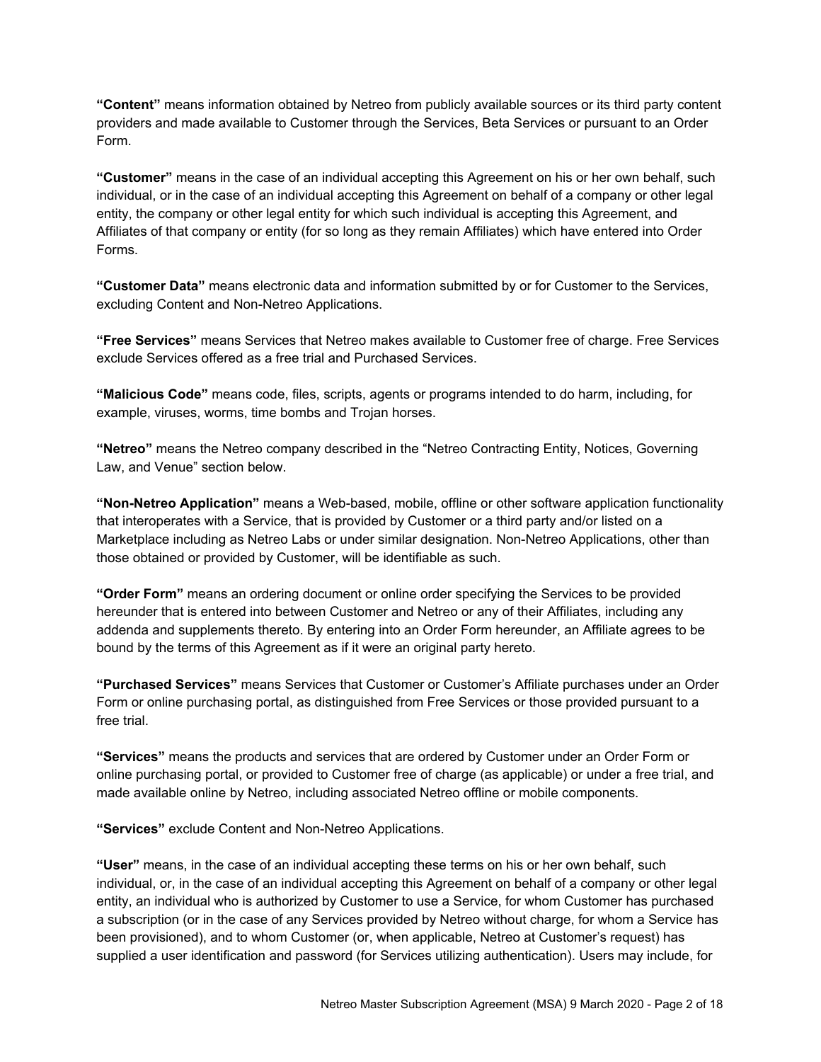**"Content"** means information obtained by Netreo from publicly available sources or its third party content providers and made available to Customer through the Services, Beta Services or pursuant to an Order Form.

**"Customer"** means in the case of an individual accepting this Agreement on his or her own behalf, such individual, or in the case of an individual accepting this Agreement on behalf of a company or other legal entity, the company or other legal entity for which such individual is accepting this Agreement, and Affiliates of that company or entity (for so long as they remain Affiliates) which have entered into Order Forms.

**"Customer Data"** means electronic data and information submitted by or for Customer to the Services, excluding Content and Non-Netreo Applications.

**"Free Services"** means Services that Netreo makes available to Customer free of charge. Free Services exclude Services offered as a free trial and Purchased Services.

**"Malicious Code"** means code, files, scripts, agents or programs intended to do harm, including, for example, viruses, worms, time bombs and Trojan horses.

**"Netreo"** means the Netreo company described in the "Netreo Contracting Entity, Notices, Governing Law, and Venue" section below.

**"Non-Netreo Application"** means a Web-based, mobile, offline or other software application functionality that interoperates with a Service, that is provided by Customer or a third party and/or listed on a Marketplace including as Netreo Labs or under similar designation. Non-Netreo Applications, other than those obtained or provided by Customer, will be identifiable as such.

**"Order Form"** means an ordering document or online order specifying the Services to be provided hereunder that is entered into between Customer and Netreo or any of their Affiliates, including any addenda and supplements thereto. By entering into an Order Form hereunder, an Affiliate agrees to be bound by the terms of this Agreement as if it were an original party hereto.

**"Purchased Services"** means Services that Customer or Customer's Affiliate purchases under an Order Form or online purchasing portal, as distinguished from Free Services or those provided pursuant to a free trial.

**"Services"** means the products and services that are ordered by Customer under an Order Form or online purchasing portal, or provided to Customer free of charge (as applicable) or under a free trial, and made available online by Netreo, including associated Netreo offline or mobile components.

**"Services"** exclude Content and Non-Netreo Applications.

**"User"** means, in the case of an individual accepting these terms on his or her own behalf, such individual, or, in the case of an individual accepting this Agreement on behalf of a company or other legal entity, an individual who is authorized by Customer to use a Service, for whom Customer has purchased a subscription (or in the case of any Services provided by Netreo without charge, for whom a Service has been provisioned), and to whom Customer (or, when applicable, Netreo at Customer's request) has supplied a user identification and password (for Services utilizing authentication). Users may include, for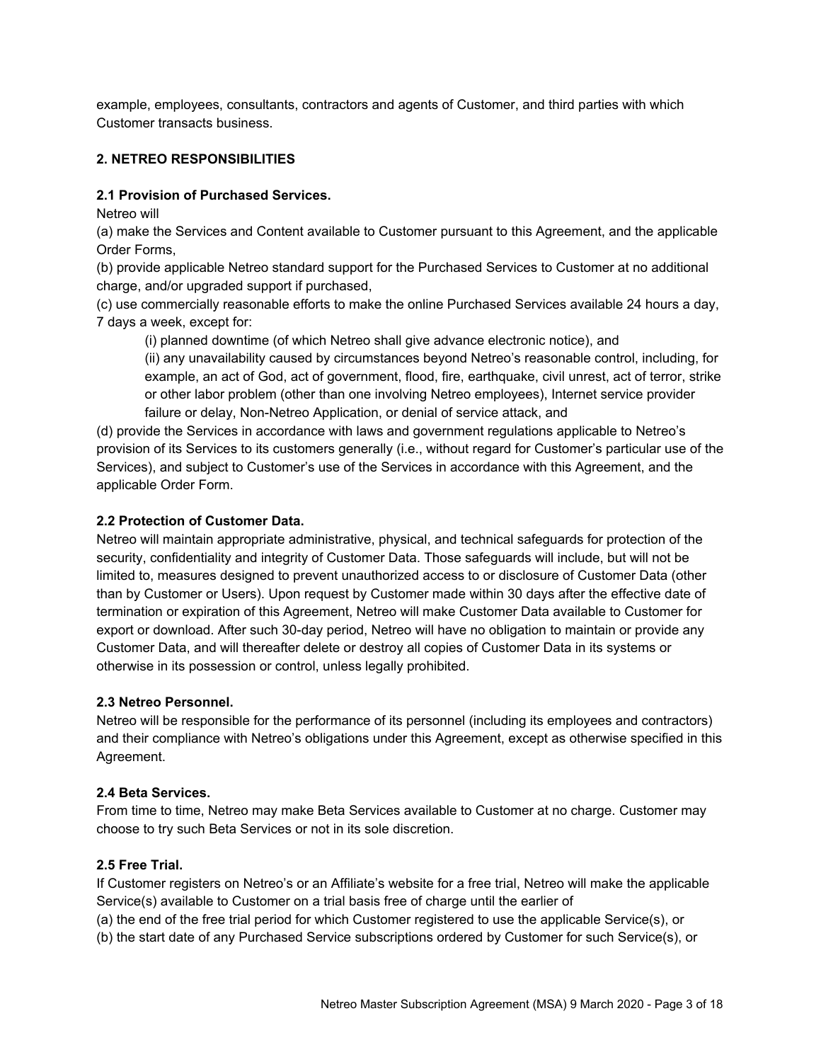example, employees, consultants, contractors and agents of Customer, and third parties with which Customer transacts business.

### **2. NETREO RESPONSIBILITIES**

#### **2.1 Provision of Purchased Services.**

Netreo will

(a) make the Services and Content available to Customer pursuant to this Agreement, and the applicable Order Forms,

(b) provide applicable Netreo standard support for the Purchased Services to Customer at no additional charge, and/or upgraded support if purchased,

(c) use commercially reasonable efforts to make the online Purchased Services available 24 hours a day, 7 days a week, except for:

(i) planned downtime (of which Netreo shall give advance electronic notice), and

(ii) any unavailability caused by circumstances beyond Netreo's reasonable control, including, for example, an act of God, act of government, flood, fire, earthquake, civil unrest, act of terror, strike or other labor problem (other than one involving Netreo employees), Internet service provider failure or delay, Non-Netreo Application, or denial of service attack, and

(d) provide the Services in accordance with laws and government regulations applicable to Netreo's provision of its Services to its customers generally (i.e., without regard for Customer's particular use of the Services), and subject to Customer's use of the Services in accordance with this Agreement, and the applicable Order Form.

#### **2.2 Protection of Customer Data.**

Netreo will maintain appropriate administrative, physical, and technical safeguards for protection of the security, confidentiality and integrity of Customer Data. Those safeguards will include, but will not be limited to, measures designed to prevent unauthorized access to or disclosure of Customer Data (other than by Customer or Users). Upon request by Customer made within 30 days after the effective date of termination or expiration of this Agreement, Netreo will make Customer Data available to Customer for export or download. After such 30-day period, Netreo will have no obligation to maintain or provide any Customer Data, and will thereafter delete or destroy all copies of Customer Data in its systems or otherwise in its possession or control, unless legally prohibited.

#### **2.3 Netreo Personnel.**

Netreo will be responsible for the performance of its personnel (including its employees and contractors) and their compliance with Netreo's obligations under this Agreement, except as otherwise specified in this Agreement.

#### **2.4 Beta Services.**

From time to time, Netreo may make Beta Services available to Customer at no charge. Customer may choose to try such Beta Services or not in its sole discretion.

#### **2.5 Free Trial.**

If Customer registers on Netreo's or an Affiliate's website for a free trial, Netreo will make the applicable Service(s) available to Customer on a trial basis free of charge until the earlier of

(a) the end of the free trial period for which Customer registered to use the applicable Service(s), or

(b) the start date of any Purchased Service subscriptions ordered by Customer for such Service(s), or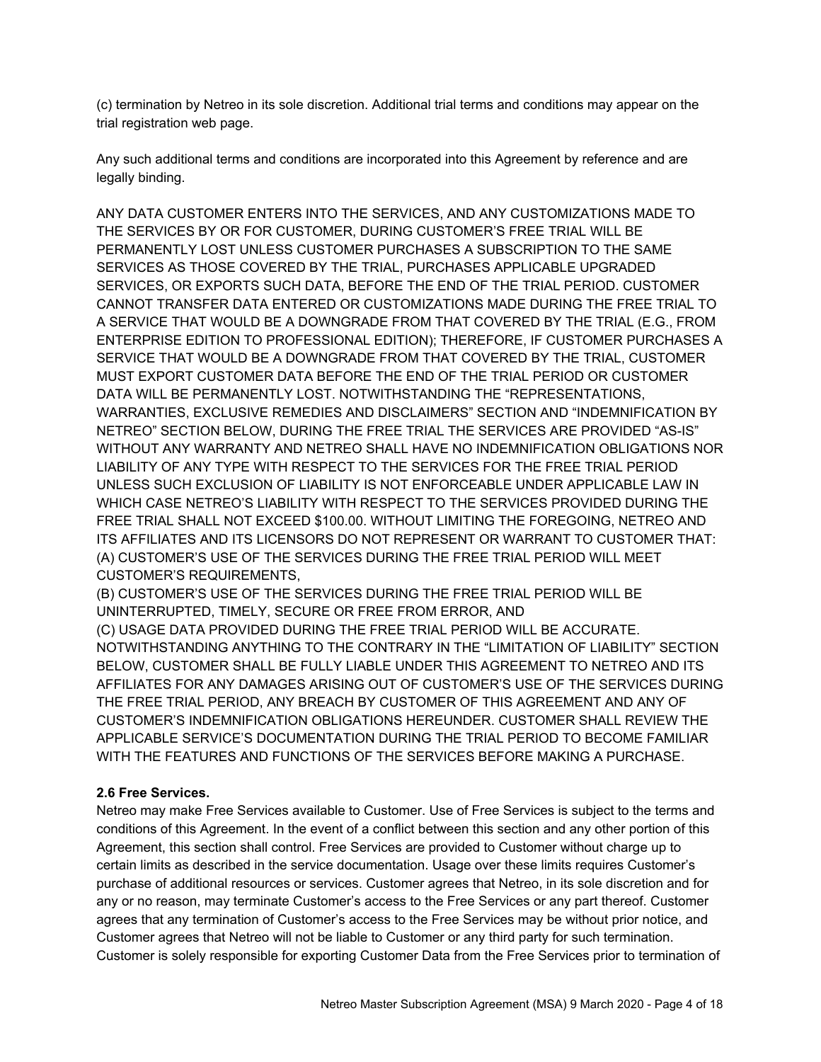(c) termination by Netreo in its sole discretion. Additional trial terms and conditions may appear on the trial registration web page.

Any such additional terms and conditions are incorporated into this Agreement by reference and are legally binding.

ANY DATA CUSTOMER ENTERS INTO THE SERVICES, AND ANY CUSTOMIZATIONS MADE TO THE SERVICES BY OR FOR CUSTOMER, DURING CUSTOMER'S FREE TRIAL WILL BE PERMANENTLY LOST UNLESS CUSTOMER PURCHASES A SUBSCRIPTION TO THE SAME SERVICES AS THOSE COVERED BY THE TRIAL, PURCHASES APPLICABLE UPGRADED SERVICES, OR EXPORTS SUCH DATA, BEFORE THE END OF THE TRIAL PERIOD. CUSTOMER CANNOT TRANSFER DATA ENTERED OR CUSTOMIZATIONS MADE DURING THE FREE TRIAL TO A SERVICE THAT WOULD BE A DOWNGRADE FROM THAT COVERED BY THE TRIAL (E.G., FROM ENTERPRISE EDITION TO PROFESSIONAL EDITION); THEREFORE, IF CUSTOMER PURCHASES A SERVICE THAT WOULD BE A DOWNGRADE FROM THAT COVERED BY THE TRIAL, CUSTOMER MUST EXPORT CUSTOMER DATA BEFORE THE END OF THE TRIAL PERIOD OR CUSTOMER DATA WILL BE PERMANENTLY LOST. NOTWITHSTANDING THE "REPRESENTATIONS, WARRANTIES, EXCLUSIVE REMEDIES AND DISCLAIMERS" SECTION AND "INDEMNIFICATION BY NETREO" SECTION BELOW, DURING THE FREE TRIAL THE SERVICES ARE PROVIDED "AS-IS" WITHOUT ANY WARRANTY AND NETREO SHALL HAVE NO INDEMNIFICATION OBLIGATIONS NOR LIABILITY OF ANY TYPE WITH RESPECT TO THE SERVICES FOR THE FREE TRIAL PERIOD UNLESS SUCH EXCLUSION OF LIABILITY IS NOT ENFORCEABLE UNDER APPLICABLE LAW IN WHICH CASE NETREO'S LIABILITY WITH RESPECT TO THE SERVICES PROVIDED DURING THE FREE TRIAL SHALL NOT EXCEED \$100.00. WITHOUT LIMITING THE FOREGOING, NETREO AND ITS AFFILIATES AND ITS LICENSORS DO NOT REPRESENT OR WARRANT TO CUSTOMER THAT: (A) CUSTOMER'S USE OF THE SERVICES DURING THE FREE TRIAL PERIOD WILL MEET CUSTOMER'S REQUIREMENTS,

(B) CUSTOMER'S USE OF THE SERVICES DURING THE FREE TRIAL PERIOD WILL BE UNINTERRUPTED, TIMELY, SECURE OR FREE FROM ERROR, AND

(C) USAGE DATA PROVIDED DURING THE FREE TRIAL PERIOD WILL BE ACCURATE. NOTWITHSTANDING ANYTHING TO THE CONTRARY IN THE "LIMITATION OF LIABILITY" SECTION BELOW, CUSTOMER SHALL BE FULLY LIABLE UNDER THIS AGREEMENT TO NETREO AND ITS AFFILIATES FOR ANY DAMAGES ARISING OUT OF CUSTOMER'S USE OF THE SERVICES DURING THE FREE TRIAL PERIOD, ANY BREACH BY CUSTOMER OF THIS AGREEMENT AND ANY OF CUSTOMER'S INDEMNIFICATION OBLIGATIONS HEREUNDER. CUSTOMER SHALL REVIEW THE APPLICABLE SERVICE'S DOCUMENTATION DURING THE TRIAL PERIOD TO BECOME FAMILIAR WITH THE FEATURES AND FUNCTIONS OF THE SERVICES BEFORE MAKING A PURCHASE.

#### **2.6 Free Services.**

Netreo may make Free Services available to Customer. Use of Free Services is subject to the terms and conditions of this Agreement. In the event of a conflict between this section and any other portion of this Agreement, this section shall control. Free Services are provided to Customer without charge up to certain limits as described in the service documentation. Usage over these limits requires Customer's purchase of additional resources or services. Customer agrees that Netreo, in its sole discretion and for any or no reason, may terminate Customer's access to the Free Services or any part thereof. Customer agrees that any termination of Customer's access to the Free Services may be without prior notice, and Customer agrees that Netreo will not be liable to Customer or any third party for such termination. Customer is solely responsible for exporting Customer Data from the Free Services prior to termination of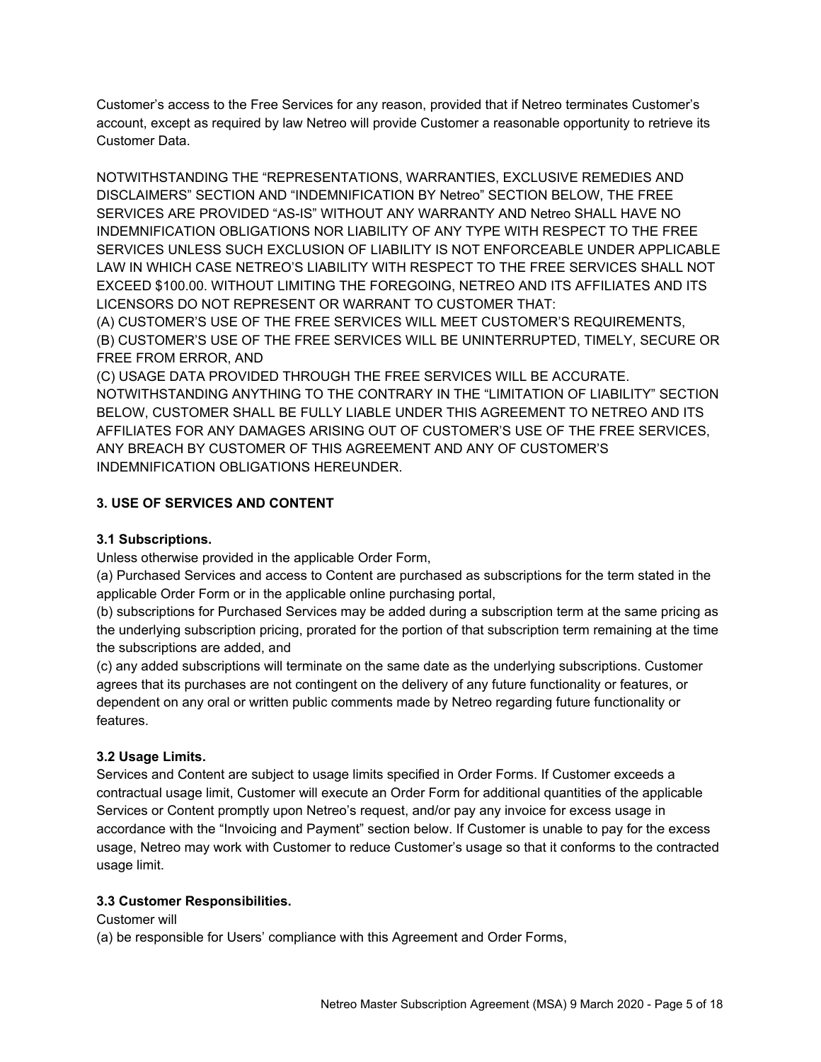Customer's access to the Free Services for any reason, provided that if Netreo terminates Customer's account, except as required by law Netreo will provide Customer a reasonable opportunity to retrieve its Customer Data.

NOTWITHSTANDING THE "REPRESENTATIONS, WARRANTIES, EXCLUSIVE REMEDIES AND DISCLAIMERS" SECTION AND "INDEMNIFICATION BY Netreo" SECTION BELOW, THE FREE SERVICES ARE PROVIDED "AS-IS" WITHOUT ANY WARRANTY AND Netreo SHALL HAVE NO INDEMNIFICATION OBLIGATIONS NOR LIABILITY OF ANY TYPE WITH RESPECT TO THE FREE SERVICES UNLESS SUCH EXCLUSION OF LIABILITY IS NOT ENFORCEABLE UNDER APPLICABLE LAW IN WHICH CASE NETREO'S LIABILITY WITH RESPECT TO THE FREE SERVICES SHALL NOT EXCEED \$100.00. WITHOUT LIMITING THE FOREGOING, NETREO AND ITS AFFILIATES AND ITS LICENSORS DO NOT REPRESENT OR WARRANT TO CUSTOMER THAT:

(A) CUSTOMER'S USE OF THE FREE SERVICES WILL MEET CUSTOMER'S REQUIREMENTS, (B) CUSTOMER'S USE OF THE FREE SERVICES WILL BE UNINTERRUPTED, TIMELY, SECURE OR FREE FROM ERROR, AND

(C) USAGE DATA PROVIDED THROUGH THE FREE SERVICES WILL BE ACCURATE. NOTWITHSTANDING ANYTHING TO THE CONTRARY IN THE "LIMITATION OF LIABILITY" SECTION BELOW, CUSTOMER SHALL BE FULLY LIABLE UNDER THIS AGREEMENT TO NETREO AND ITS AFFILIATES FOR ANY DAMAGES ARISING OUT OF CUSTOMER'S USE OF THE FREE SERVICES, ANY BREACH BY CUSTOMER OF THIS AGREEMENT AND ANY OF CUSTOMER'S INDEMNIFICATION OBLIGATIONS HEREUNDER.

# **3. USE OF SERVICES AND CONTENT**

#### **3.1 Subscriptions.**

Unless otherwise provided in the applicable Order Form,

(a) Purchased Services and access to Content are purchased as subscriptions for the term stated in the applicable Order Form or in the applicable online purchasing portal,

(b) subscriptions for Purchased Services may be added during a subscription term at the same pricing as the underlying subscription pricing, prorated for the portion of that subscription term remaining at the time the subscriptions are added, and

(c) any added subscriptions will terminate on the same date as the underlying subscriptions. Customer agrees that its purchases are not contingent on the delivery of any future functionality or features, or dependent on any oral or written public comments made by Netreo regarding future functionality or features.

#### **3.2 Usage Limits.**

Services and Content are subject to usage limits specified in Order Forms. If Customer exceeds a contractual usage limit, Customer will execute an Order Form for additional quantities of the applicable Services or Content promptly upon Netreo's request, and/or pay any invoice for excess usage in accordance with the "Invoicing and Payment" section below. If Customer is unable to pay for the excess usage, Netreo may work with Customer to reduce Customer's usage so that it conforms to the contracted usage limit.

#### **3.3 Customer Responsibilities.**

Customer will

(a) be responsible for Users' compliance with this Agreement and Order Forms,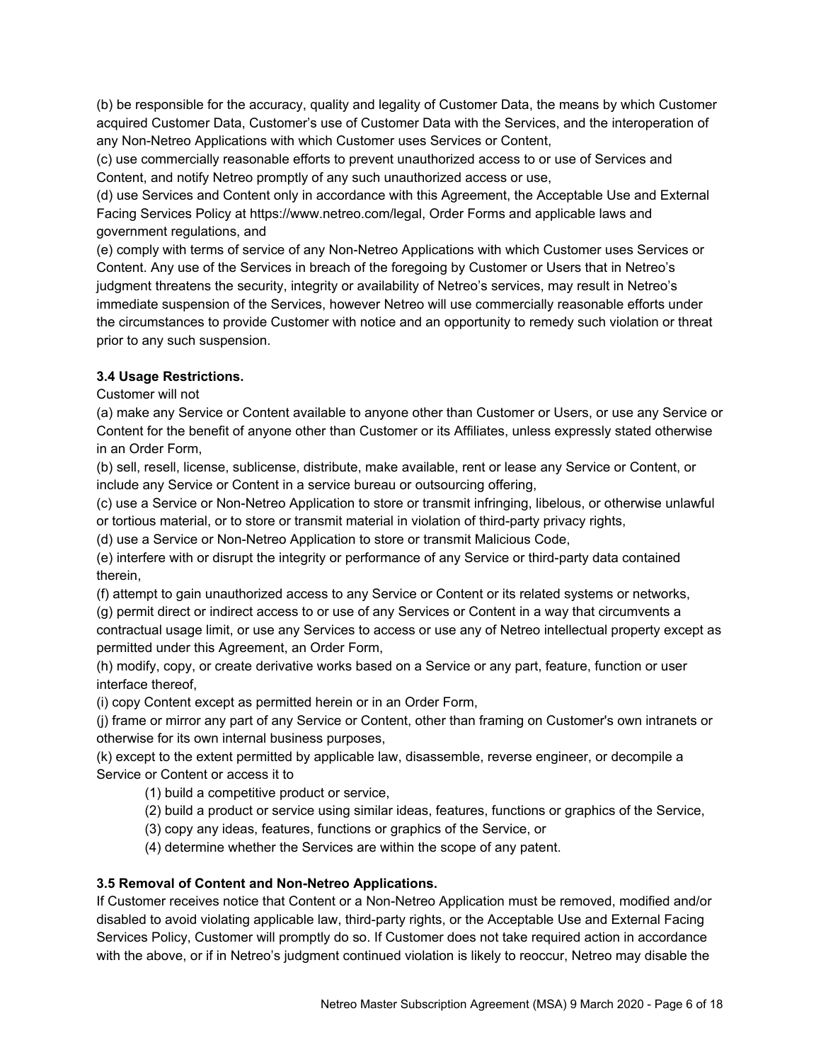(b) be responsible for the accuracy, quality and legality of Customer Data, the means by which Customer acquired Customer Data, Customer's use of Customer Data with the Services, and the interoperation of any Non-Netreo Applications with which Customer uses Services or Content,

(c) use commercially reasonable efforts to prevent unauthorized access to or use of Services and Content, and notify Netreo promptly of any such unauthorized access or use,

(d) use Services and Content only in accordance with this Agreement, the Acceptable Use and External Facing Services Policy at https://www.netreo.com/legal, Order Forms and applicable laws and government regulations, and

(e) comply with terms of service of any Non-Netreo Applications with which Customer uses Services or Content. Any use of the Services in breach of the foregoing by Customer or Users that in Netreo's judgment threatens the security, integrity or availability of Netreo's services, may result in Netreo's immediate suspension of the Services, however Netreo will use commercially reasonable efforts under the circumstances to provide Customer with notice and an opportunity to remedy such violation or threat prior to any such suspension.

# **3.4 Usage Restrictions.**

Customer will not

(a) make any Service or Content available to anyone other than Customer or Users, or use any Service or Content for the benefit of anyone other than Customer or its Affiliates, unless expressly stated otherwise in an Order Form,

(b) sell, resell, license, sublicense, distribute, make available, rent or lease any Service or Content, or include any Service or Content in a service bureau or outsourcing offering,

(c) use a Service or Non-Netreo Application to store or transmit infringing, libelous, or otherwise unlawful or tortious material, or to store or transmit material in violation of third-party privacy rights,

(d) use a Service or Non-Netreo Application to store or transmit Malicious Code,

(e) interfere with or disrupt the integrity or performance of any Service or third-party data contained therein,

(f) attempt to gain unauthorized access to any Service or Content or its related systems or networks, (g) permit direct or indirect access to or use of any Services or Content in a way that circumvents a contractual usage limit, or use any Services to access or use any of Netreo intellectual property except as

permitted under this Agreement, an Order Form,

(h) modify, copy, or create derivative works based on a Service or any part, feature, function or user interface thereof,

(i) copy Content except as permitted herein or in an Order Form,

(j) frame or mirror any part of any Service or Content, other than framing on Customer's own intranets or otherwise for its own internal business purposes,

(k) except to the extent permitted by applicable law, disassemble, reverse engineer, or decompile a Service or Content or access it to

(1) build a competitive product or service,

(2) build a product or service using similar ideas, features, functions or graphics of the Service,

(3) copy any ideas, features, functions or graphics of the Service, or

(4) determine whether the Services are within the scope of any patent.

#### **3.5 Removal of Content and Non-Netreo Applications.**

If Customer receives notice that Content or a Non-Netreo Application must be removed, modified and/or disabled to avoid violating applicable law, third-party rights, or the Acceptable Use and External Facing Services Policy, Customer will promptly do so. If Customer does not take required action in accordance with the above, or if in Netreo's judgment continued violation is likely to reoccur, Netreo may disable the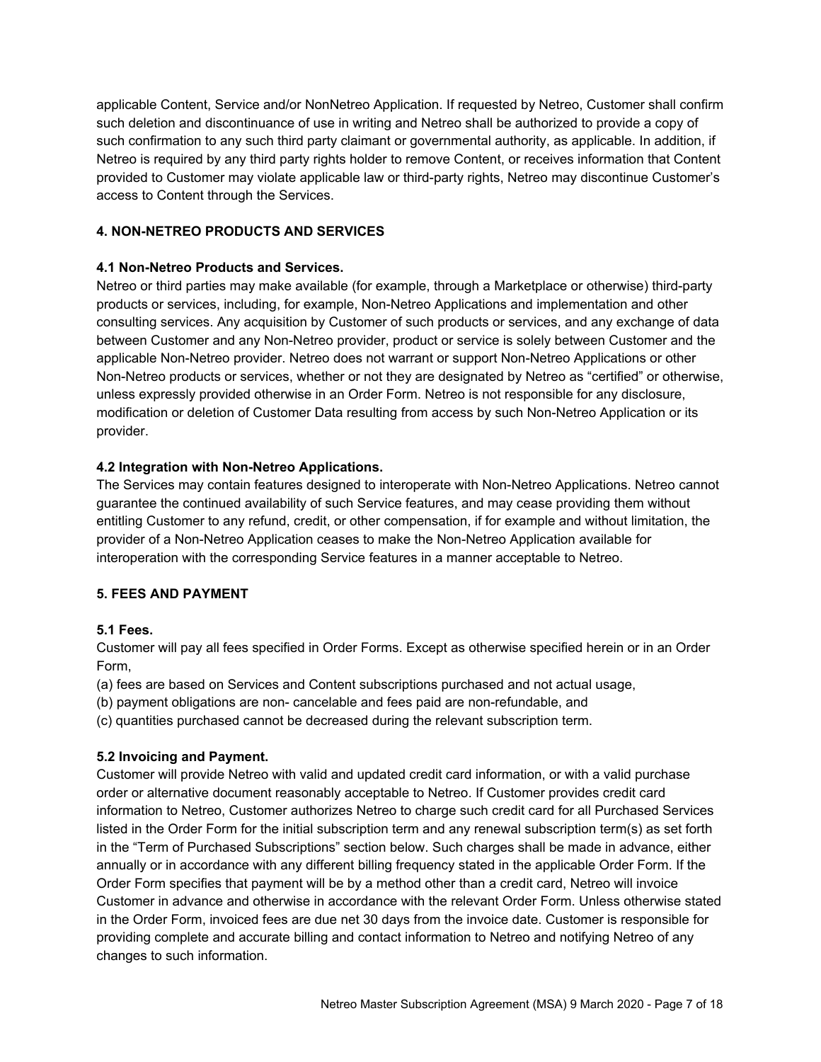applicable Content, Service and/or NonNetreo Application. If requested by Netreo, Customer shall confirm such deletion and discontinuance of use in writing and Netreo shall be authorized to provide a copy of such confirmation to any such third party claimant or governmental authority, as applicable. In addition, if Netreo is required by any third party rights holder to remove Content, or receives information that Content provided to Customer may violate applicable law or third-party rights, Netreo may discontinue Customer's access to Content through the Services.

### **4. NON-NETREO PRODUCTS AND SERVICES**

### **4.1 Non-Netreo Products and Services.**

Netreo or third parties may make available (for example, through a Marketplace or otherwise) third-party products or services, including, for example, Non-Netreo Applications and implementation and other consulting services. Any acquisition by Customer of such products or services, and any exchange of data between Customer and any Non-Netreo provider, product or service is solely between Customer and the applicable Non-Netreo provider. Netreo does not warrant or support Non-Netreo Applications or other Non-Netreo products or services, whether or not they are designated by Netreo as "certified" or otherwise, unless expressly provided otherwise in an Order Form. Netreo is not responsible for any disclosure, modification or deletion of Customer Data resulting from access by such Non-Netreo Application or its provider.

### **4.2 Integration with Non-Netreo Applications.**

The Services may contain features designed to interoperate with Non-Netreo Applications. Netreo cannot guarantee the continued availability of such Service features, and may cease providing them without entitling Customer to any refund, credit, or other compensation, if for example and without limitation, the provider of a Non-Netreo Application ceases to make the Non-Netreo Application available for interoperation with the corresponding Service features in a manner acceptable to Netreo.

# **5. FEES AND PAYMENT**

# **5.1 Fees.**

Customer will pay all fees specified in Order Forms. Except as otherwise specified herein or in an Order Form,

(a) fees are based on Services and Content subscriptions purchased and not actual usage,

(b) payment obligations are non- cancelable and fees paid are non-refundable, and

(c) quantities purchased cannot be decreased during the relevant subscription term.

# **5.2 Invoicing and Payment.**

Customer will provide Netreo with valid and updated credit card information, or with a valid purchase order or alternative document reasonably acceptable to Netreo. If Customer provides credit card information to Netreo, Customer authorizes Netreo to charge such credit card for all Purchased Services listed in the Order Form for the initial subscription term and any renewal subscription term(s) as set forth in the "Term of Purchased Subscriptions" section below. Such charges shall be made in advance, either annually or in accordance with any different billing frequency stated in the applicable Order Form. If the Order Form specifies that payment will be by a method other than a credit card, Netreo will invoice Customer in advance and otherwise in accordance with the relevant Order Form. Unless otherwise stated in the Order Form, invoiced fees are due net 30 days from the invoice date. Customer is responsible for providing complete and accurate billing and contact information to Netreo and notifying Netreo of any changes to such information.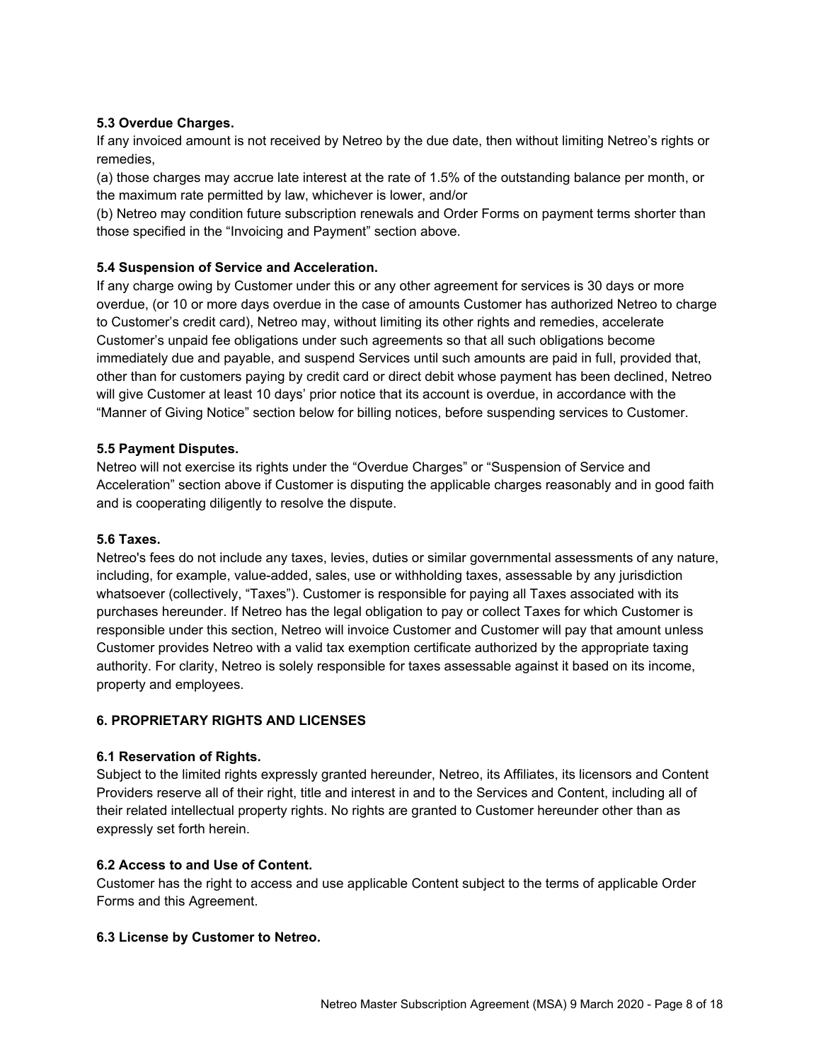### **5.3 Overdue Charges.**

If any invoiced amount is not received by Netreo by the due date, then without limiting Netreo's rights or remedies,

(a) those charges may accrue late interest at the rate of 1.5% of the outstanding balance per month, or the maximum rate permitted by law, whichever is lower, and/or

(b) Netreo may condition future subscription renewals and Order Forms on payment terms shorter than those specified in the "Invoicing and Payment" section above.

### **5.4 Suspension of Service and Acceleration.**

If any charge owing by Customer under this or any other agreement for services is 30 days or more overdue, (or 10 or more days overdue in the case of amounts Customer has authorized Netreo to charge to Customer's credit card), Netreo may, without limiting its other rights and remedies, accelerate Customer's unpaid fee obligations under such agreements so that all such obligations become immediately due and payable, and suspend Services until such amounts are paid in full, provided that, other than for customers paying by credit card or direct debit whose payment has been declined, Netreo will give Customer at least 10 days' prior notice that its account is overdue, in accordance with the "Manner of Giving Notice" section below for billing notices, before suspending services to Customer.

#### **5.5 Payment Disputes.**

Netreo will not exercise its rights under the "Overdue Charges" or "Suspension of Service and Acceleration" section above if Customer is disputing the applicable charges reasonably and in good faith and is cooperating diligently to resolve the dispute.

#### **5.6 Taxes.**

Netreo's fees do not include any taxes, levies, duties or similar governmental assessments of any nature, including, for example, value-added, sales, use or withholding taxes, assessable by any jurisdiction whatsoever (collectively, "Taxes"). Customer is responsible for paying all Taxes associated with its purchases hereunder. If Netreo has the legal obligation to pay or collect Taxes for which Customer is responsible under this section, Netreo will invoice Customer and Customer will pay that amount unless Customer provides Netreo with a valid tax exemption certificate authorized by the appropriate taxing authority. For clarity, Netreo is solely responsible for taxes assessable against it based on its income, property and employees.

#### **6. PROPRIETARY RIGHTS AND LICENSES**

#### **6.1 Reservation of Rights.**

Subject to the limited rights expressly granted hereunder, Netreo, its Affiliates, its licensors and Content Providers reserve all of their right, title and interest in and to the Services and Content, including all of their related intellectual property rights. No rights are granted to Customer hereunder other than as expressly set forth herein.

#### **6.2 Access to and Use of Content.**

Customer has the right to access and use applicable Content subject to the terms of applicable Order Forms and this Agreement.

#### **6.3 License by Customer to Netreo.**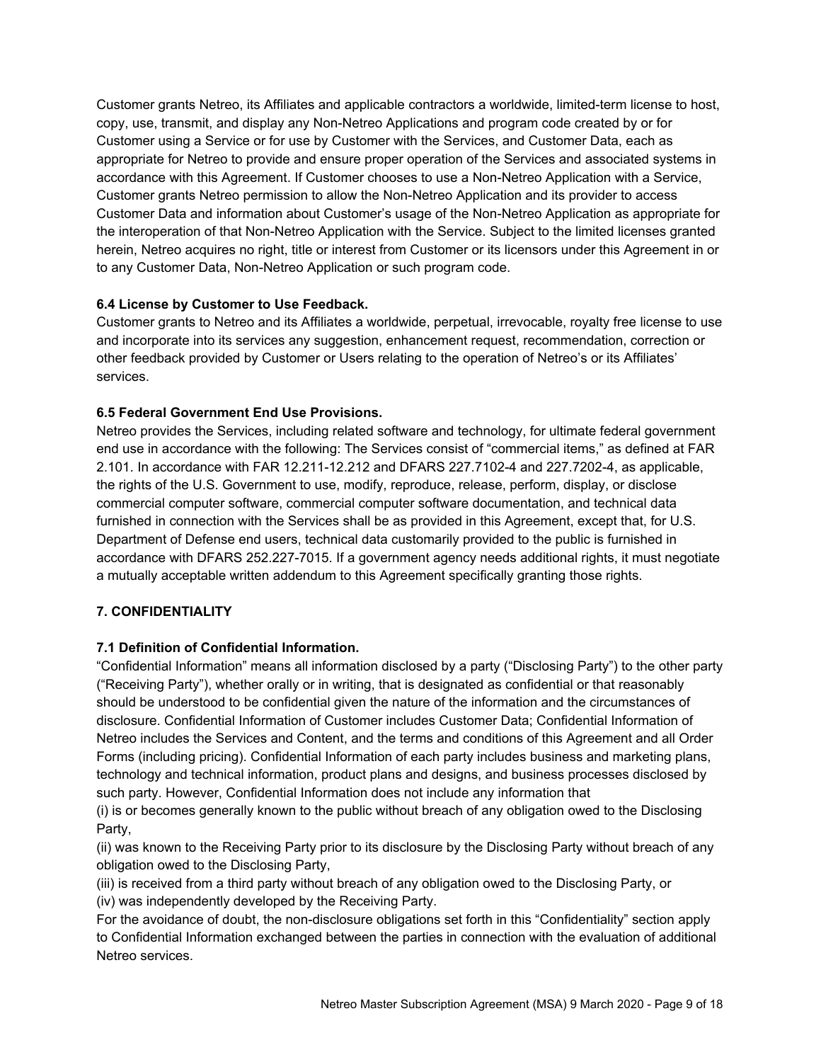Customer grants Netreo, its Affiliates and applicable contractors a worldwide, limited-term license to host, copy, use, transmit, and display any Non-Netreo Applications and program code created by or for Customer using a Service or for use by Customer with the Services, and Customer Data, each as appropriate for Netreo to provide and ensure proper operation of the Services and associated systems in accordance with this Agreement. If Customer chooses to use a Non-Netreo Application with a Service, Customer grants Netreo permission to allow the Non-Netreo Application and its provider to access Customer Data and information about Customer's usage of the Non-Netreo Application as appropriate for the interoperation of that Non-Netreo Application with the Service. Subject to the limited licenses granted herein, Netreo acquires no right, title or interest from Customer or its licensors under this Agreement in or to any Customer Data, Non-Netreo Application or such program code.

### **6.4 License by Customer to Use Feedback.**

Customer grants to Netreo and its Affiliates a worldwide, perpetual, irrevocable, royalty free license to use and incorporate into its services any suggestion, enhancement request, recommendation, correction or other feedback provided by Customer or Users relating to the operation of Netreo's or its Affiliates' services.

### **6.5 Federal Government End Use Provisions.**

Netreo provides the Services, including related software and technology, for ultimate federal government end use in accordance with the following: The Services consist of "commercial items," as defined at FAR 2.101. In accordance with FAR 12.211-12.212 and DFARS 227.7102-4 and 227.7202-4, as applicable, the rights of the U.S. Government to use, modify, reproduce, release, perform, display, or disclose commercial computer software, commercial computer software documentation, and technical data furnished in connection with the Services shall be as provided in this Agreement, except that, for U.S. Department of Defense end users, technical data customarily provided to the public is furnished in accordance with DFARS 252.227-7015. If a government agency needs additional rights, it must negotiate a mutually acceptable written addendum to this Agreement specifically granting those rights.

# **7. CONFIDENTIALITY**

#### **7.1 Definition of Confidential Information.**

"Confidential Information" means all information disclosed by a party ("Disclosing Party") to the other party ("Receiving Party"), whether orally or in writing, that is designated as confidential or that reasonably should be understood to be confidential given the nature of the information and the circumstances of disclosure. Confidential Information of Customer includes Customer Data; Confidential Information of Netreo includes the Services and Content, and the terms and conditions of this Agreement and all Order Forms (including pricing). Confidential Information of each party includes business and marketing plans, technology and technical information, product plans and designs, and business processes disclosed by such party. However, Confidential Information does not include any information that

(i) is or becomes generally known to the public without breach of any obligation owed to the Disclosing Party,

(ii) was known to the Receiving Party prior to its disclosure by the Disclosing Party without breach of any obligation owed to the Disclosing Party,

(iii) is received from a third party without breach of any obligation owed to the Disclosing Party, or (iv) was independently developed by the Receiving Party.

For the avoidance of doubt, the non-disclosure obligations set forth in this "Confidentiality" section apply to Confidential Information exchanged between the parties in connection with the evaluation of additional Netreo services.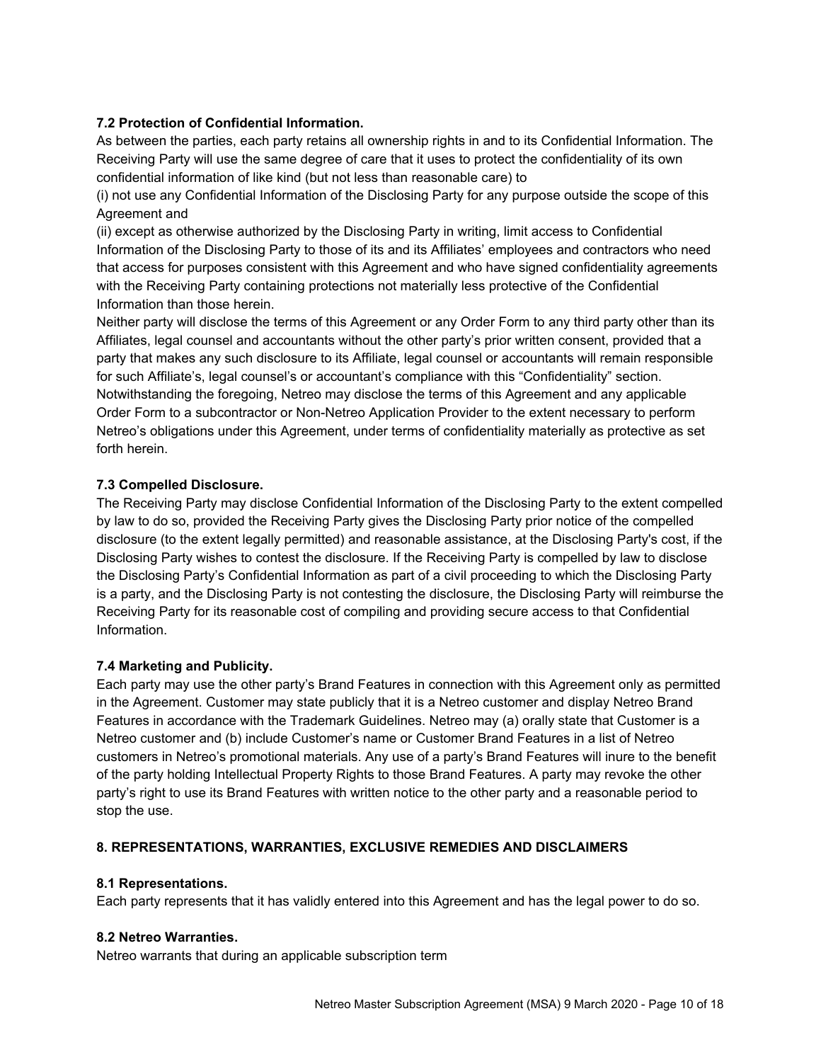### **7.2 Protection of Confidential Information.**

As between the parties, each party retains all ownership rights in and to its Confidential Information. The Receiving Party will use the same degree of care that it uses to protect the confidentiality of its own confidential information of like kind (but not less than reasonable care) to

(i) not use any Confidential Information of the Disclosing Party for any purpose outside the scope of this Agreement and

(ii) except as otherwise authorized by the Disclosing Party in writing, limit access to Confidential Information of the Disclosing Party to those of its and its Affiliates' employees and contractors who need that access for purposes consistent with this Agreement and who have signed confidentiality agreements with the Receiving Party containing protections not materially less protective of the Confidential Information than those herein.

Neither party will disclose the terms of this Agreement or any Order Form to any third party other than its Affiliates, legal counsel and accountants without the other party's prior written consent, provided that a party that makes any such disclosure to its Affiliate, legal counsel or accountants will remain responsible for such Affiliate's, legal counsel's or accountant's compliance with this "Confidentiality" section. Notwithstanding the foregoing, Netreo may disclose the terms of this Agreement and any applicable Order Form to a subcontractor or Non-Netreo Application Provider to the extent necessary to perform Netreo's obligations under this Agreement, under terms of confidentiality materially as protective as set forth herein.

### **7.3 Compelled Disclosure.**

The Receiving Party may disclose Confidential Information of the Disclosing Party to the extent compelled by law to do so, provided the Receiving Party gives the Disclosing Party prior notice of the compelled disclosure (to the extent legally permitted) and reasonable assistance, at the Disclosing Party's cost, if the Disclosing Party wishes to contest the disclosure. If the Receiving Party is compelled by law to disclose the Disclosing Party's Confidential Information as part of a civil proceeding to which the Disclosing Party is a party, and the Disclosing Party is not contesting the disclosure, the Disclosing Party will reimburse the Receiving Party for its reasonable cost of compiling and providing secure access to that Confidential Information.

#### **7.4 Marketing and Publicity.**

Each party may use the other party's Brand Features in connection with this Agreement only as permitted in the Agreement. Customer may state publicly that it is a Netreo customer and display Netreo Brand Features in accordance with the Trademark Guidelines. Netreo may (a) orally state that Customer is a Netreo customer and (b) include Customer's name or Customer Brand Features in a list of Netreo customers in Netreo's promotional materials. Any use of a party's Brand Features will inure to the benefit of the party holding Intellectual Property Rights to those Brand Features. A party may revoke the other party's right to use its Brand Features with written notice to the other party and a reasonable period to stop the use.

#### **8. REPRESENTATIONS, WARRANTIES, EXCLUSIVE REMEDIES AND DISCLAIMERS**

#### **8.1 Representations.**

Each party represents that it has validly entered into this Agreement and has the legal power to do so.

#### **8.2 Netreo Warranties.**

Netreo warrants that during an applicable subscription term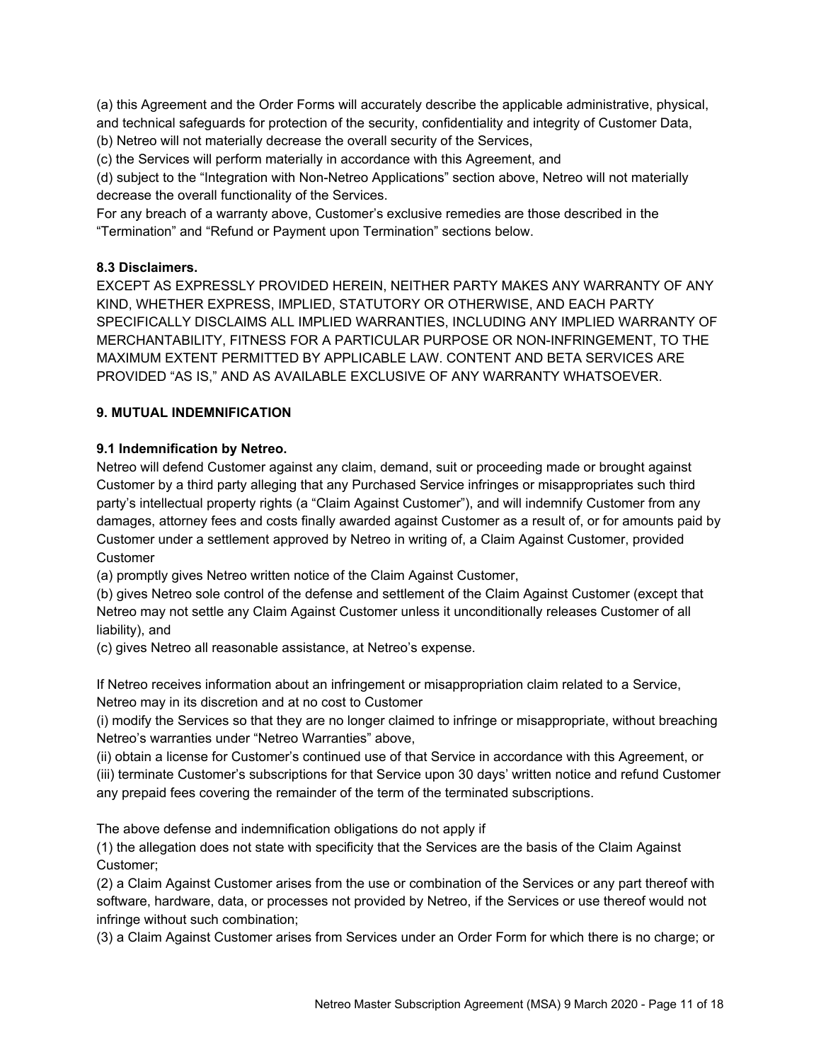(a) this Agreement and the Order Forms will accurately describe the applicable administrative, physical, and technical safeguards for protection of the security, confidentiality and integrity of Customer Data,

(b) Netreo will not materially decrease the overall security of the Services,

(c) the Services will perform materially in accordance with this Agreement, and

(d) subject to the "Integration with Non-Netreo Applications" section above, Netreo will not materially decrease the overall functionality of the Services.

For any breach of a warranty above, Customer's exclusive remedies are those described in the "Termination" and "Refund or Payment upon Termination" sections below.

### **8.3 Disclaimers.**

EXCEPT AS EXPRESSLY PROVIDED HEREIN, NEITHER PARTY MAKES ANY WARRANTY OF ANY KIND, WHETHER EXPRESS, IMPLIED, STATUTORY OR OTHERWISE, AND EACH PARTY SPECIFICALLY DISCLAIMS ALL IMPLIED WARRANTIES, INCLUDING ANY IMPLIED WARRANTY OF MERCHANTABILITY, FITNESS FOR A PARTICULAR PURPOSE OR NON-INFRINGEMENT, TO THE MAXIMUM EXTENT PERMITTED BY APPLICABLE LAW. CONTENT AND BETA SERVICES ARE PROVIDED "AS IS," AND AS AVAILABLE EXCLUSIVE OF ANY WARRANTY WHATSOEVER.

# **9. MUTUAL INDEMNIFICATION**

# **9.1 Indemnification by Netreo.**

Netreo will defend Customer against any claim, demand, suit or proceeding made or brought against Customer by a third party alleging that any Purchased Service infringes or misappropriates such third party's intellectual property rights (a "Claim Against Customer"), and will indemnify Customer from any damages, attorney fees and costs finally awarded against Customer as a result of, or for amounts paid by Customer under a settlement approved by Netreo in writing of, a Claim Against Customer, provided Customer

(a) promptly gives Netreo written notice of the Claim Against Customer,

(b) gives Netreo sole control of the defense and settlement of the Claim Against Customer (except that Netreo may not settle any Claim Against Customer unless it unconditionally releases Customer of all liability), and

(c) gives Netreo all reasonable assistance, at Netreo's expense.

If Netreo receives information about an infringement or misappropriation claim related to a Service, Netreo may in its discretion and at no cost to Customer

(i) modify the Services so that they are no longer claimed to infringe or misappropriate, without breaching Netreo's warranties under "Netreo Warranties" above,

(ii) obtain a license for Customer's continued use of that Service in accordance with this Agreement, or (iii) terminate Customer's subscriptions for that Service upon 30 days' written notice and refund Customer any prepaid fees covering the remainder of the term of the terminated subscriptions.

The above defense and indemnification obligations do not apply if

(1) the allegation does not state with specificity that the Services are the basis of the Claim Against Customer;

(2) a Claim Against Customer arises from the use or combination of the Services or any part thereof with software, hardware, data, or processes not provided by Netreo, if the Services or use thereof would not infringe without such combination;

(3) a Claim Against Customer arises from Services under an Order Form for which there is no charge; or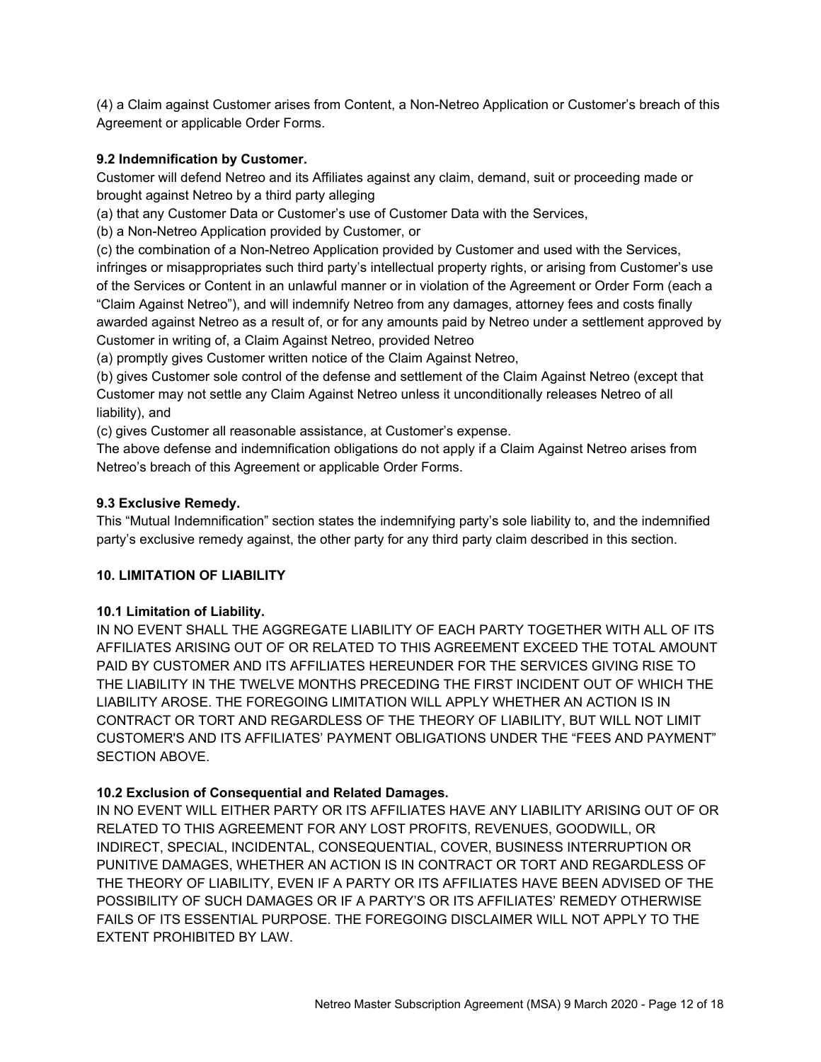(4) a Claim against Customer arises from Content, a Non-Netreo Application or Customer's breach of this Agreement or applicable Order Forms.

#### **9.2 Indemnification by Customer.**

Customer will defend Netreo and its Affiliates against any claim, demand, suit or proceeding made or brought against Netreo by a third party alleging

(a) that any Customer Data or Customer's use of Customer Data with the Services,

(b) a Non-Netreo Application provided by Customer, or

(c) the combination of a Non-Netreo Application provided by Customer and used with the Services, infringes or misappropriates such third party's intellectual property rights, or arising from Customer's use of the Services or Content in an unlawful manner or in violation of the Agreement or Order Form (each a "Claim Against Netreo"), and will indemnify Netreo from any damages, attorney fees and costs finally awarded against Netreo as a result of, or for any amounts paid by Netreo under a settlement approved by Customer in writing of, a Claim Against Netreo, provided Netreo

(a) promptly gives Customer written notice of the Claim Against Netreo,

(b) gives Customer sole control of the defense and settlement of the Claim Against Netreo (except that Customer may not settle any Claim Against Netreo unless it unconditionally releases Netreo of all liability), and

(c) gives Customer all reasonable assistance, at Customer's expense.

The above defense and indemnification obligations do not apply if a Claim Against Netreo arises from Netreo's breach of this Agreement or applicable Order Forms.

### **9.3 Exclusive Remedy.**

This "Mutual Indemnification" section states the indemnifying party's sole liability to, and the indemnified party's exclusive remedy against, the other party for any third party claim described in this section.

# **10. LIMITATION OF LIABILITY**

#### **10.1 Limitation of Liability.**

IN NO EVENT SHALL THE AGGREGATE LIABILITY OF EACH PARTY TOGETHER WITH ALL OF ITS AFFILIATES ARISING OUT OF OR RELATED TO THIS AGREEMENT EXCEED THE TOTAL AMOUNT PAID BY CUSTOMER AND ITS AFFILIATES HEREUNDER FOR THE SERVICES GIVING RISE TO THE LIABILITY IN THE TWELVE MONTHS PRECEDING THE FIRST INCIDENT OUT OF WHICH THE LIABILITY AROSE. THE FOREGOING LIMITATION WILL APPLY WHETHER AN ACTION IS IN CONTRACT OR TORT AND REGARDLESS OF THE THEORY OF LIABILITY, BUT WILL NOT LIMIT CUSTOMER'S AND ITS AFFILIATES' PAYMENT OBLIGATIONS UNDER THE "FEES AND PAYMENT" SECTION ABOVE.

# **10.2 Exclusion of Consequential and Related Damages.**

IN NO EVENT WILL EITHER PARTY OR ITS AFFILIATES HAVE ANY LIABILITY ARISING OUT OF OR RELATED TO THIS AGREEMENT FOR ANY LOST PROFITS, REVENUES, GOODWILL, OR INDIRECT, SPECIAL, INCIDENTAL, CONSEQUENTIAL, COVER, BUSINESS INTERRUPTION OR PUNITIVE DAMAGES, WHETHER AN ACTION IS IN CONTRACT OR TORT AND REGARDLESS OF THE THEORY OF LIABILITY, EVEN IF A PARTY OR ITS AFFILIATES HAVE BEEN ADVISED OF THE POSSIBILITY OF SUCH DAMAGES OR IF A PARTY'S OR ITS AFFILIATES' REMEDY OTHERWISE FAILS OF ITS ESSENTIAL PURPOSE. THE FOREGOING DISCLAIMER WILL NOT APPLY TO THE EXTENT PROHIBITED BY LAW.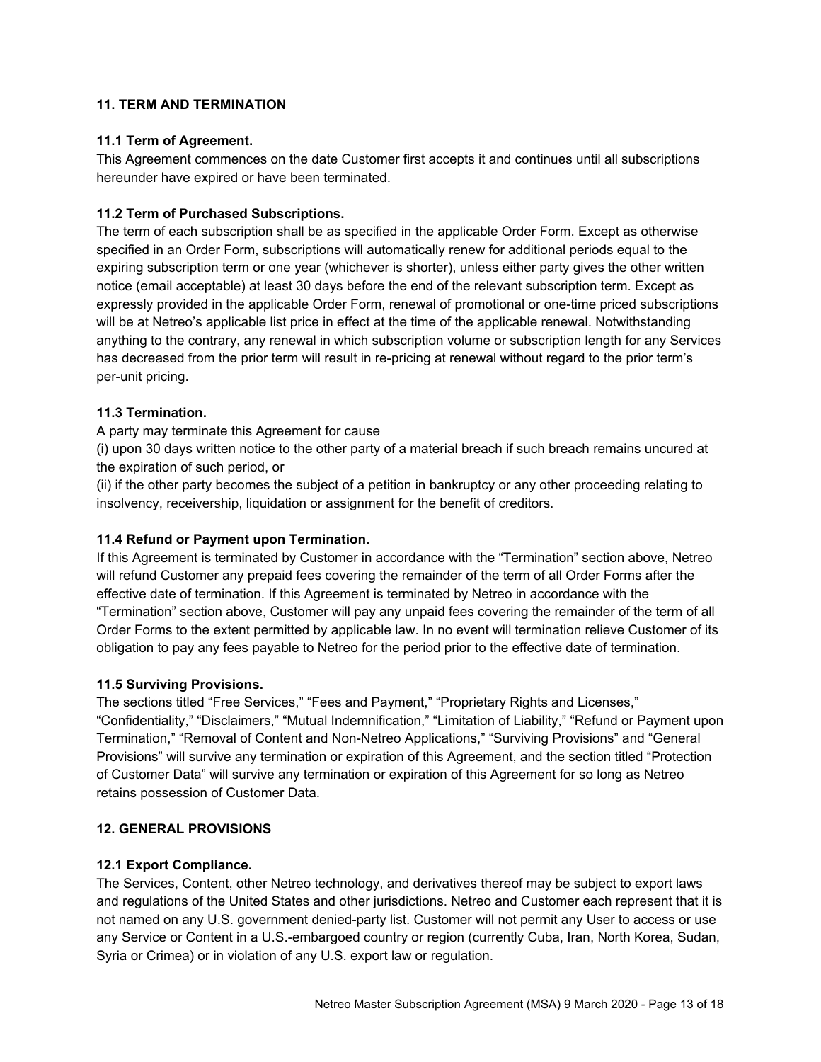### **11. TERM AND TERMINATION**

#### **11.1 Term of Agreement.**

This Agreement commences on the date Customer first accepts it and continues until all subscriptions hereunder have expired or have been terminated.

### **11.2 Term of Purchased Subscriptions.**

The term of each subscription shall be as specified in the applicable Order Form. Except as otherwise specified in an Order Form, subscriptions will automatically renew for additional periods equal to the expiring subscription term or one year (whichever is shorter), unless either party gives the other written notice (email acceptable) at least 30 days before the end of the relevant subscription term. Except as expressly provided in the applicable Order Form, renewal of promotional or one-time priced subscriptions will be at Netreo's applicable list price in effect at the time of the applicable renewal. Notwithstanding anything to the contrary, any renewal in which subscription volume or subscription length for any Services has decreased from the prior term will result in re-pricing at renewal without regard to the prior term's per-unit pricing.

### **11.3 Termination.**

A party may terminate this Agreement for cause

(i) upon 30 days written notice to the other party of a material breach if such breach remains uncured at the expiration of such period, or

(ii) if the other party becomes the subject of a petition in bankruptcy or any other proceeding relating to insolvency, receivership, liquidation or assignment for the benefit of creditors.

### **11.4 Refund or Payment upon Termination.**

If this Agreement is terminated by Customer in accordance with the "Termination" section above, Netreo will refund Customer any prepaid fees covering the remainder of the term of all Order Forms after the effective date of termination. If this Agreement is terminated by Netreo in accordance with the "Termination" section above, Customer will pay any unpaid fees covering the remainder of the term of all Order Forms to the extent permitted by applicable law. In no event will termination relieve Customer of its obligation to pay any fees payable to Netreo for the period prior to the effective date of termination.

#### **11.5 Surviving Provisions.**

The sections titled "Free Services," "Fees and Payment," "Proprietary Rights and Licenses," "Confidentiality," "Disclaimers," "Mutual Indemnification," "Limitation of Liability," "Refund or Payment upon Termination," "Removal of Content and Non-Netreo Applications," "Surviving Provisions" and "General Provisions" will survive any termination or expiration of this Agreement, and the section titled "Protection of Customer Data" will survive any termination or expiration of this Agreement for so long as Netreo retains possession of Customer Data.

#### **12. GENERAL PROVISIONS**

#### **12.1 Export Compliance.**

The Services, Content, other Netreo technology, and derivatives thereof may be subject to export laws and regulations of the United States and other jurisdictions. Netreo and Customer each represent that it is not named on any U.S. government denied-party list. Customer will not permit any User to access or use any Service or Content in a U.S.-embargoed country or region (currently Cuba, Iran, North Korea, Sudan, Syria or Crimea) or in violation of any U.S. export law or regulation.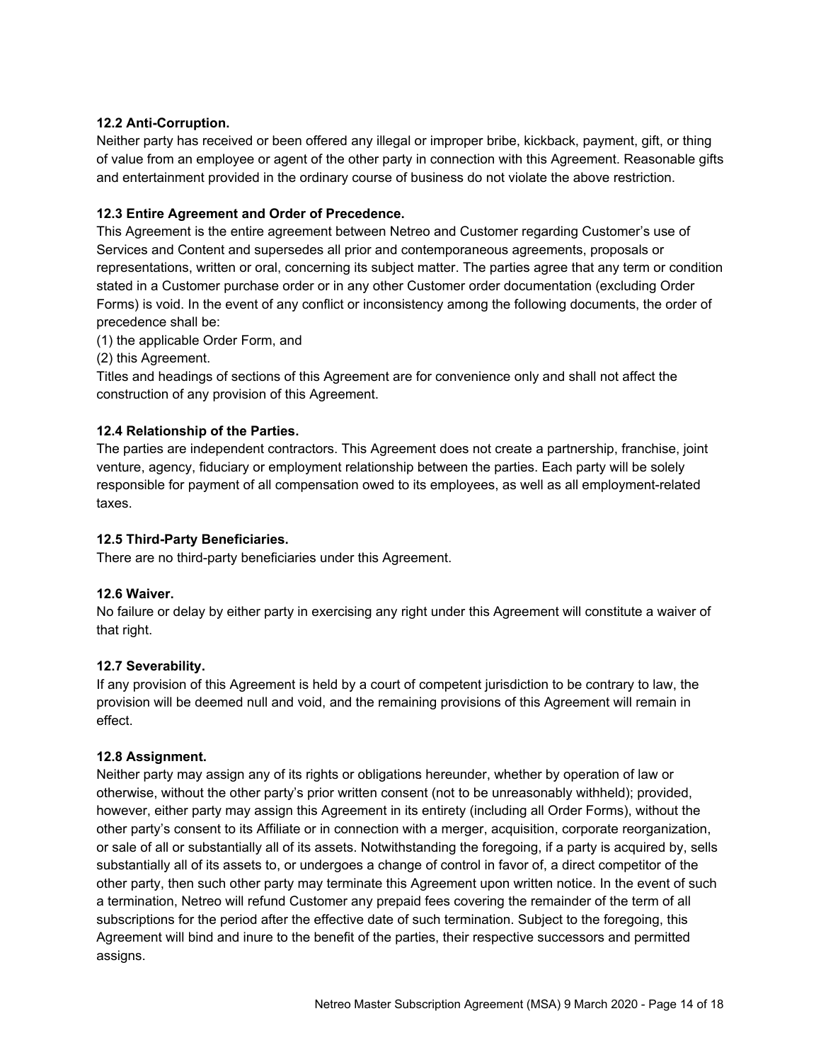### **12.2 Anti-Corruption.**

Neither party has received or been offered any illegal or improper bribe, kickback, payment, gift, or thing of value from an employee or agent of the other party in connection with this Agreement. Reasonable gifts and entertainment provided in the ordinary course of business do not violate the above restriction.

### **12.3 Entire Agreement and Order of Precedence.**

This Agreement is the entire agreement between Netreo and Customer regarding Customer's use of Services and Content and supersedes all prior and contemporaneous agreements, proposals or representations, written or oral, concerning its subject matter. The parties agree that any term or condition stated in a Customer purchase order or in any other Customer order documentation (excluding Order Forms) is void. In the event of any conflict or inconsistency among the following documents, the order of precedence shall be:

(1) the applicable Order Form, and

(2) this Agreement.

Titles and headings of sections of this Agreement are for convenience only and shall not affect the construction of any provision of this Agreement.

#### **12.4 Relationship of the Parties.**

The parties are independent contractors. This Agreement does not create a partnership, franchise, joint venture, agency, fiduciary or employment relationship between the parties. Each party will be solely responsible for payment of all compensation owed to its employees, as well as all employment-related taxes.

#### **12.5 Third-Party Beneficiaries.**

There are no third-party beneficiaries under this Agreement.

#### **12.6 Waiver.**

No failure or delay by either party in exercising any right under this Agreement will constitute a waiver of that right.

#### **12.7 Severability.**

If any provision of this Agreement is held by a court of competent jurisdiction to be contrary to law, the provision will be deemed null and void, and the remaining provisions of this Agreement will remain in effect.

#### **12.8 Assignment.**

Neither party may assign any of its rights or obligations hereunder, whether by operation of law or otherwise, without the other party's prior written consent (not to be unreasonably withheld); provided, however, either party may assign this Agreement in its entirety (including all Order Forms), without the other party's consent to its Affiliate or in connection with a merger, acquisition, corporate reorganization, or sale of all or substantially all of its assets. Notwithstanding the foregoing, if a party is acquired by, sells substantially all of its assets to, or undergoes a change of control in favor of, a direct competitor of the other party, then such other party may terminate this Agreement upon written notice. In the event of such a termination, Netreo will refund Customer any prepaid fees covering the remainder of the term of all subscriptions for the period after the effective date of such termination. Subject to the foregoing, this Agreement will bind and inure to the benefit of the parties, their respective successors and permitted assigns.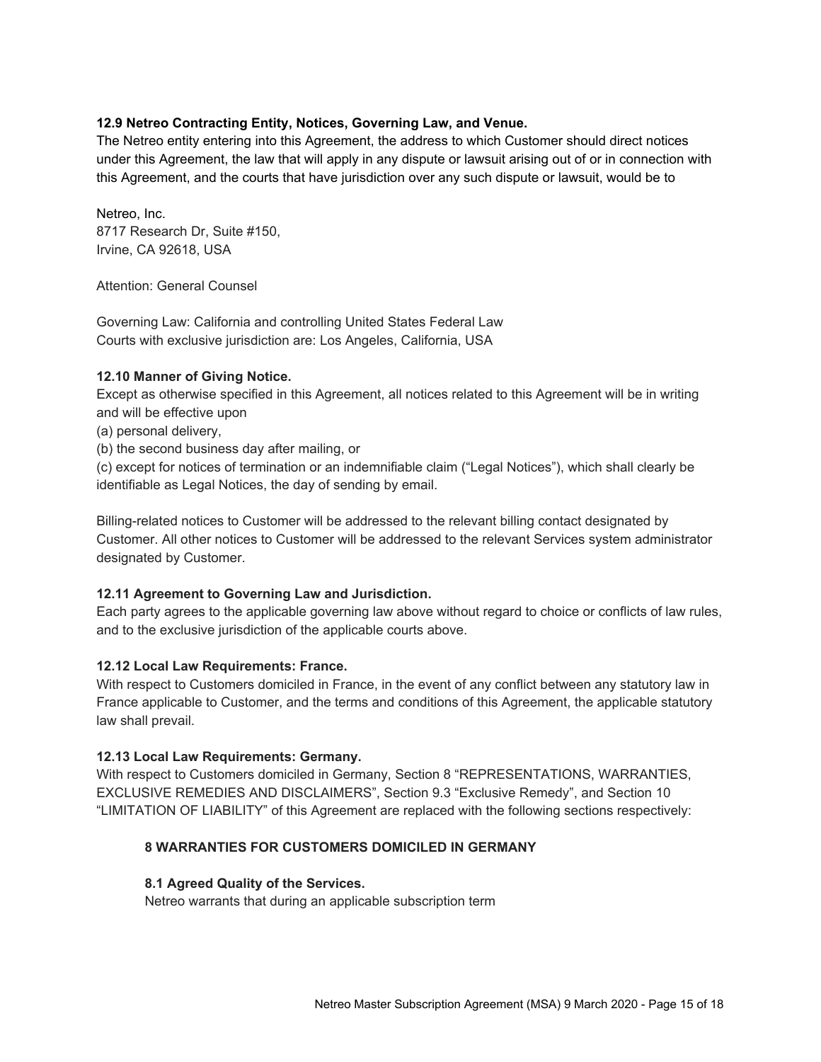#### **12.9 Netreo Contracting Entity, Notices, Governing Law, and Venue.**

The Netreo entity entering into this Agreement, the address to which Customer should direct notices under this Agreement, the law that will apply in any dispute or lawsuit arising out of or in connection with this Agreement, and the courts that have jurisdiction over any such dispute or lawsuit, would be to

Netreo, Inc. 8717 Research Dr, Suite #150, Irvine, CA 92618, USA

Attention: General Counsel

Governing Law: California and controlling United States Federal Law Courts with exclusive jurisdiction are: Los Angeles, California, USA

#### **12.10 Manner of Giving Notice.**

Except as otherwise specified in this Agreement, all notices related to this Agreement will be in writing and will be effective upon

(a) personal delivery,

(b) the second business day after mailing, or

(c) except for notices of termination or an indemnifiable claim ("Legal Notices"), which shall clearly be identifiable as Legal Notices, the day of sending by email.

Billing-related notices to Customer will be addressed to the relevant billing contact designated by Customer. All other notices to Customer will be addressed to the relevant Services system administrator designated by Customer.

#### **12.11 Agreement to Governing Law and Jurisdiction.**

Each party agrees to the applicable governing law above without regard to choice or conflicts of law rules, and to the exclusive jurisdiction of the applicable courts above.

#### **12.12 Local Law Requirements: France.**

With respect to Customers domiciled in France, in the event of any conflict between any statutory law in France applicable to Customer, and the terms and conditions of this Agreement, the applicable statutory law shall prevail.

#### **12.13 Local Law Requirements: Germany.**

With respect to Customers domiciled in Germany, Section 8 "REPRESENTATIONS, WARRANTIES, EXCLUSIVE REMEDIES AND DISCLAIMERS", Section 9.3 "Exclusive Remedy", and Section 10 "LIMITATION OF LIABILITY" of this Agreement are replaced with the following sections respectively:

#### **8 WARRANTIES FOR CUSTOMERS DOMICILED IN GERMANY**

#### **8.1 Agreed Quality of the Services.**

Netreo warrants that during an applicable subscription term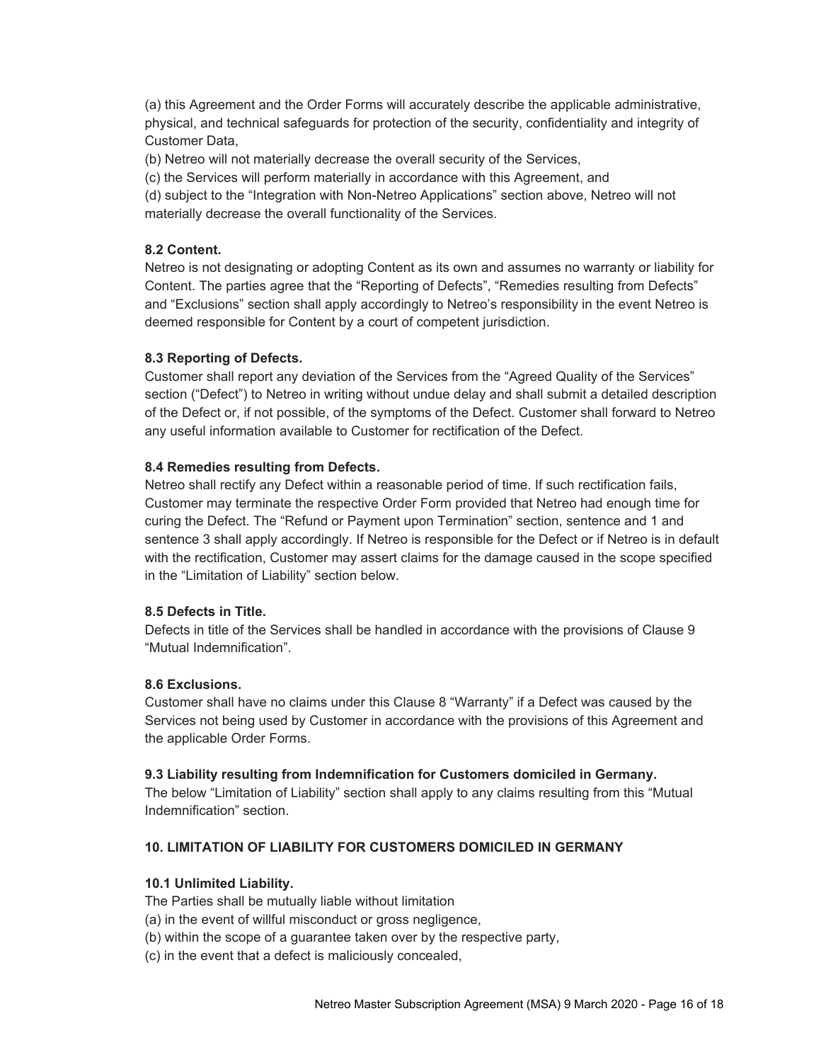(a) this Agreement and the Order Forms will accurately describe the applicable administrative, physical, and technical safeguards for protection of the security, confidentiality and integrity of Customer Data,

(b) Netreo will not materially decrease the overall security of the Services,

(c) the Services will perform materially in accordance with this Agreement, and

(d) subject to the "Integration with Non-Netreo Applications" section above, Netreo will not materially decrease the overall functionality of the Services.

### **8.2 Content.**

Netreo is not designating or adopting Content as its own and assumes no warranty or liability for Content. The parties agree that the "Reporting of Defects", "Remedies resulting from Defects" and "Exclusions" section shall apply accordingly to Netreo's responsibility in the event Netreo is deemed responsible for Content by a court of competent jurisdiction.

### **8.3 Reporting of Defects.**

Customer shall report any deviation of the Services from the "Agreed Quality of the Services" section ("Defect") to Netreo in writing without undue delay and shall submit a detailed description of the Defect or, if not possible, of the symptoms of the Defect. Customer shall forward to Netreo any useful information available to Customer for rectification of the Defect.

#### **8.4 Remedies resulting from Defects.**

Netreo shall rectify any Defect within a reasonable period of time. If such rectification fails, Customer may terminate the respective Order Form provided that Netreo had enough time for curing the Defect. The "Refund or Payment upon Termination" section, sentence and 1 and sentence 3 shall apply accordingly. If Netreo is responsible for the Defect or if Netreo is in default with the rectification, Customer may assert claims for the damage caused in the scope specified in the "Limitation of Liability" section below.

#### **8.5 Defects in Title.**

Defects in title of the Services shall be handled in accordance with the provisions of Clause 9 "Mutual Indemnification".

#### **8.6 Exclusions.**

Customer shall have no claims under this Clause 8 "Warranty" if a Defect was caused by the Services not being used by Customer in accordance with the provisions of this Agreement and the applicable Order Forms.

#### **9.3 Liability resulting from Indemnification for Customers domiciled in Germany.**

The below "Limitation of Liability" section shall apply to any claims resulting from this "Mutual Indemnification" section.

# **10. LIMITATION OF LIABILITY FOR CUSTOMERS DOMICILED IN GERMANY**

#### **10.1 Unlimited Liability.**

The Parties shall be mutually liable without limitation

(a) in the event of willful misconduct or gross negligence,

(b) within the scope of a guarantee taken over by the respective party,

(c) in the event that a defect is maliciously concealed,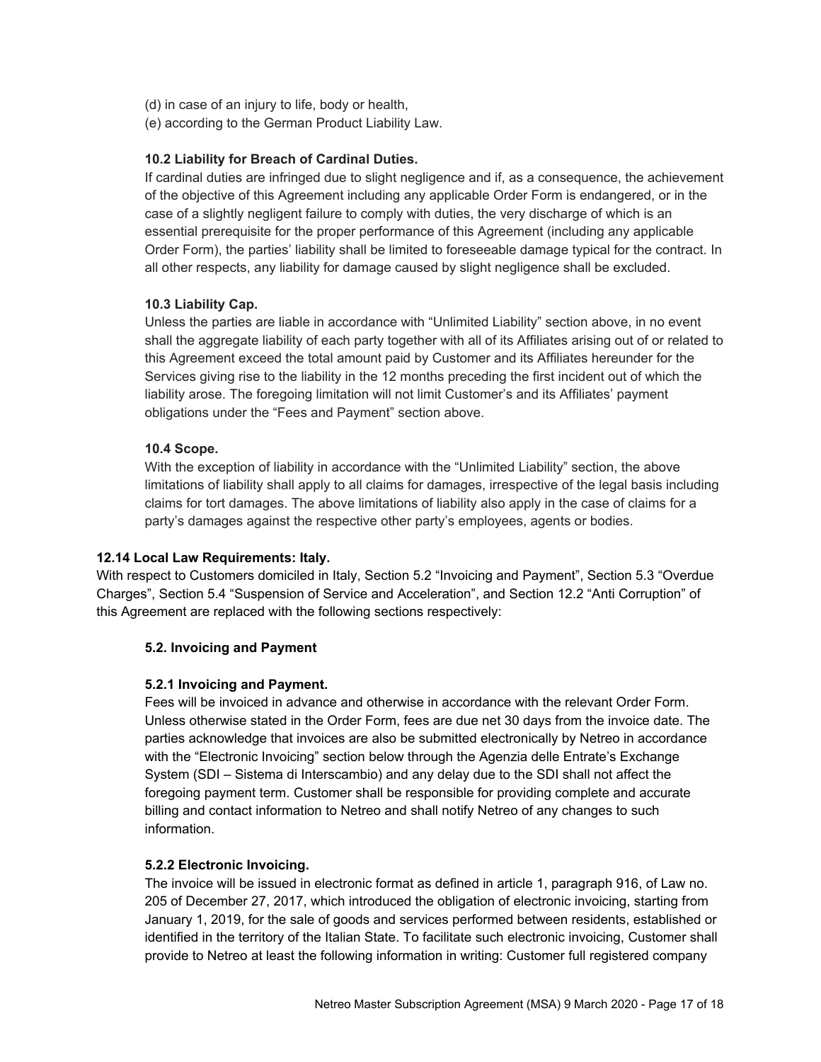- (d) in case of an injury to life, body or health,
- (e) according to the German Product Liability Law.

#### **10.2 Liability for Breach of Cardinal Duties.**

If cardinal duties are infringed due to slight negligence and if, as a consequence, the achievement of the objective of this Agreement including any applicable Order Form is endangered, or in the case of a slightly negligent failure to comply with duties, the very discharge of which is an essential prerequisite for the proper performance of this Agreement (including any applicable Order Form), the parties' liability shall be limited to foreseeable damage typical for the contract. In all other respects, any liability for damage caused by slight negligence shall be excluded.

#### **10.3 Liability Cap.**

Unless the parties are liable in accordance with "Unlimited Liability" section above, in no event shall the aggregate liability of each party together with all of its Affiliates arising out of or related to this Agreement exceed the total amount paid by Customer and its Affiliates hereunder for the Services giving rise to the liability in the 12 months preceding the first incident out of which the liability arose. The foregoing limitation will not limit Customer's and its Affiliates' payment obligations under the "Fees and Payment" section above.

#### **10.4 Scope.**

With the exception of liability in accordance with the "Unlimited Liability" section, the above limitations of liability shall apply to all claims for damages, irrespective of the legal basis including claims for tort damages. The above limitations of liability also apply in the case of claims for a party's damages against the respective other party's employees, agents or bodies.

#### **12.14 Local Law Requirements: Italy.**

With respect to Customers domiciled in Italy, Section 5.2 "Invoicing and Payment", Section 5.3 "Overdue Charges", Section 5.4 "Suspension of Service and Acceleration", and Section 12.2 "Anti Corruption" of this Agreement are replaced with the following sections respectively:

#### **5.2. Invoicing and Payment**

#### **5.2.1 Invoicing and Payment.**

Fees will be invoiced in advance and otherwise in accordance with the relevant Order Form. Unless otherwise stated in the Order Form, fees are due net 30 days from the invoice date. The parties acknowledge that invoices are also be submitted electronically by Netreo in accordance with the "Electronic Invoicing" section below through the Agenzia delle Entrate's Exchange System (SDI – Sistema di Interscambio) and any delay due to the SDI shall not affect the foregoing payment term. Customer shall be responsible for providing complete and accurate billing and contact information to Netreo and shall notify Netreo of any changes to such information.

#### **5.2.2 Electronic Invoicing.**

The invoice will be issued in electronic format as defined in article 1, paragraph 916, of Law no. 205 of December 27, 2017, which introduced the obligation of electronic invoicing, starting from January 1, 2019, for the sale of goods and services performed between residents, established or identified in the territory of the Italian State. To facilitate such electronic invoicing, Customer shall provide to Netreo at least the following information in writing: Customer full registered company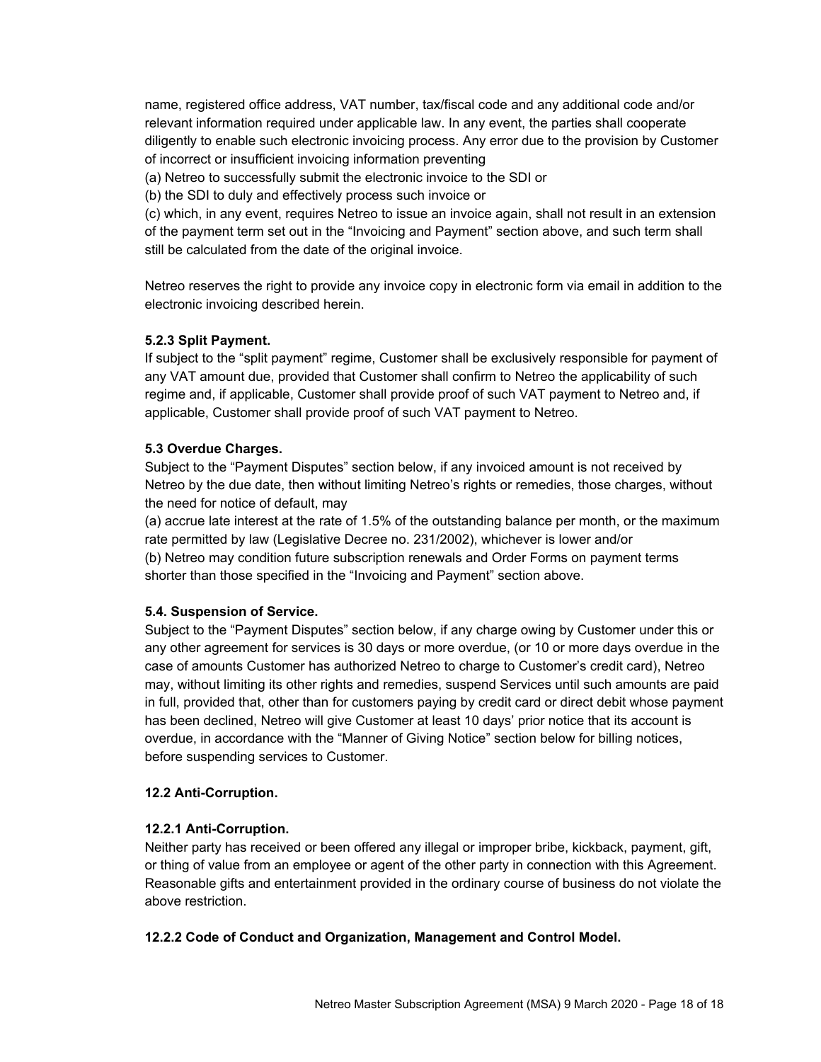name, registered office address, VAT number, tax/fiscal code and any additional code and/or relevant information required under applicable law. In any event, the parties shall cooperate diligently to enable such electronic invoicing process. Any error due to the provision by Customer of incorrect or insufficient invoicing information preventing

(a) Netreo to successfully submit the electronic invoice to the SDI or

(b) the SDI to duly and effectively process such invoice or

(c) which, in any event, requires Netreo to issue an invoice again, shall not result in an extension of the payment term set out in the "Invoicing and Payment" section above, and such term shall still be calculated from the date of the original invoice.

Netreo reserves the right to provide any invoice copy in electronic form via email in addition to the electronic invoicing described herein.

#### **5.2.3 Split Payment.**

If subject to the "split payment" regime, Customer shall be exclusively responsible for payment of any VAT amount due, provided that Customer shall confirm to Netreo the applicability of such regime and, if applicable, Customer shall provide proof of such VAT payment to Netreo and, if applicable, Customer shall provide proof of such VAT payment to Netreo.

#### **5.3 Overdue Charges.**

Subject to the "Payment Disputes" section below, if any invoiced amount is not received by Netreo by the due date, then without limiting Netreo's rights or remedies, those charges, without the need for notice of default, may

(a) accrue late interest at the rate of 1.5% of the outstanding balance per month, or the maximum rate permitted by law (Legislative Decree no. 231/2002), whichever is lower and/or (b) Netreo may condition future subscription renewals and Order Forms on payment terms shorter than those specified in the "Invoicing and Payment" section above.

#### **5.4. Suspension of Service.**

Subject to the "Payment Disputes" section below, if any charge owing by Customer under this or any other agreement for services is 30 days or more overdue, (or 10 or more days overdue in the case of amounts Customer has authorized Netreo to charge to Customer's credit card), Netreo may, without limiting its other rights and remedies, suspend Services until such amounts are paid in full, provided that, other than for customers paying by credit card or direct debit whose payment has been declined, Netreo will give Customer at least 10 days' prior notice that its account is overdue, in accordance with the "Manner of Giving Notice" section below for billing notices, before suspending services to Customer.

#### **12.2 Anti-Corruption.**

#### **12.2.1 Anti-Corruption.**

Neither party has received or been offered any illegal or improper bribe, kickback, payment, gift, or thing of value from an employee or agent of the other party in connection with this Agreement. Reasonable gifts and entertainment provided in the ordinary course of business do not violate the above restriction.

#### **12.2.2 Code of Conduct and Organization, Management and Control Model.**